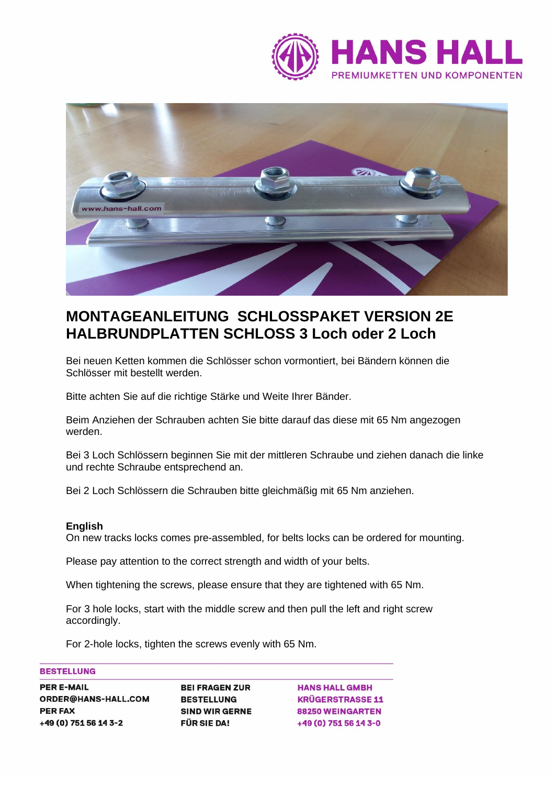



# **MONTAGEANLEITUNG SCHLOSSPAKET VERSION 2E HALBRUNDPLATTEN SCHLOSS 3 Loch oder 2 Loch**

Bei neuen Ketten kommen die Schlösser schon vormontiert, bei Bändern können die Schlösser mit bestellt werden.

Bitte achten Sie auf die richtige Stärke und Weite Ihrer Bänder.

Beim Anziehen der Schrauben achten Sie bitte darauf das diese mit 65 Nm angezogen werden.

Bei 3 Loch Schlössern beginnen Sie mit der mittleren Schraube und ziehen danach die linke und rechte Schraube entsprechend an.

Bei 2 Loch Schlössern die Schrauben bitte gleichmäßig mit 65 Nm anziehen.

### **English**

On new tracks locks comes pre-assembled, for belts locks can be ordered for mounting.

Please pay attention to the correct strength and width of your belts.

When tightening the screws, please ensure that they are tightened with 65 Nm.

For 3 hole locks, start with the middle screw and then pull the left and right screw accordingly.

For 2-hole locks, tighten the screws evenly with 65 Nm.

# **BESTELLUNG**

| <b>PER E-MAIL</b>          |
|----------------------------|
| <b>ORDER@HANS-HALL.COM</b> |
| <b>PER FAX</b>             |
| +49 (0) 751 56 14 3-2      |

**BEI FRAGEN ZUR BESTELLUNG SIND WIR GERNE FÜR SIE DA!** 

**HANS HALL GMBH KRÜGERSTRASSE 11** 88250 WEINGARTEN +49 (0) 751 56 14 3-0